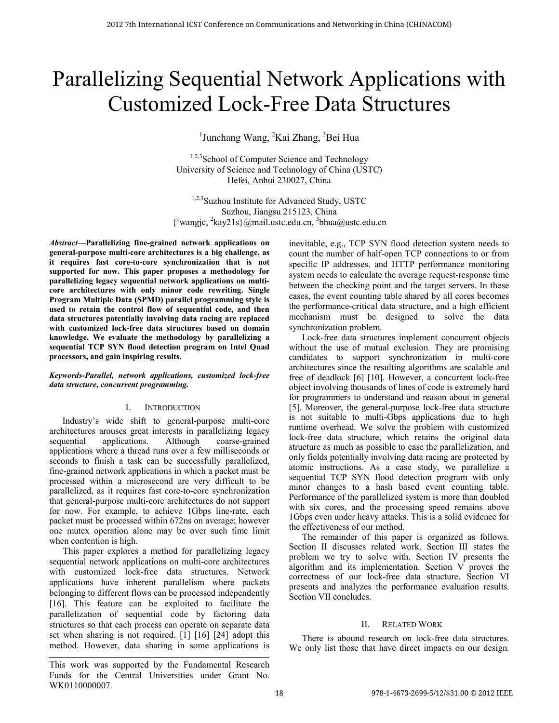# Parallelizing Sequential Network Applications with Customized Lock-Free Data Structures

<sup>1</sup>Junchang Wang, <sup>2</sup>Kai Zhang, <sup>3</sup>Bei Hua

<sup>1,2,3</sup>School of Computer Science and Technology University of Science and Technology of China (USTC) Hefei, Anhui 230027, China

<sup>1,2,3</sup>Suzhou Institute for Advanced Study, USTC Suzhou, Jiangsu 215123, China  $\{$ <sup>1</sup>wangjc, <sup>2</sup>kay21s}@mail.ustc.edu.cn, <sup>3</sup>bhua@ustc.edu.cn

*Abstract***—Parallelizing fine-grained network applications on general-purpose multi-core architectures is a big challenge, as it requires fast core-to-core synchronization that is not supported for now. This paper proposes a methodology for parallelizing legacy sequential network applications on multicore architectures with only minor code rewriting. Single Program Multiple Data (SPMD) parallel programming style is used to retain the control flow of sequential code, and then data structures potentially involving data racing are replaced with customized lock-free data structures based on domain knowledge. We evaluate the methodology by parallelizing a sequential TCP SYN flood detection program on Intel Quad processors, and gain inspiring results.** 

## *Keywords-Parallel, network applications, customized lock-free data structure, concurrent programming.*

## I. INTRODUCTION

Industry's wide shift to general-purpose multi-core architectures arouses great interests in parallelizing legacy sequential applications. Although coarse-grained applications where a thread runs over a few milliseconds or seconds to finish a task can be successfully parallelized, fine-grained network applications in which a packet must be processed within a microsecond are very difficult to be parallelized, as it requires fast core-to-core synchronization that general-purpose multi-core architectures do not support for now. For example, to achieve 1Gbps line-rate, each packet must be processed within 672ns on average; however one mutex operation alone may be over such time limit when contention is high.

 This paper explores a method for parallelizing legacy sequential network applications on multi-core architectures with customized lock-free data structures. Network applications have inherent parallelism where packets belonging to different flows can be processed independently [16]. This feature can be exploited to facilitate the parallelization of sequential code by factoring data structures so that each process can operate on separate data set when sharing is not required. [1] [16] [24] adopt this method. However, data sharing in some applications is

This work was supported by the Fundamental Research Funds for the Central Universities under Grant No. WK0110000007.

inevitable, e.g., TCP SYN flood detection system needs to count the number of half-open TCP connections to or from specific IP addresses, and HTTP performance monitoring system needs to calculate the average request-response time between the checking point and the target servers. In these cases, the event counting table shared by all cores becomes the performance-critical data structure, and a high efficient mechanism must be designed to solve the data synchronization problem.

Lock-free data structures implement concurrent objects without the use of mutual exclusion. They are promising candidates to support synchronization in multi-core architectures since the resulting algorithms are scalable and free of deadlock [6] [10]. However, a concurrent lock-free object involving thousands of lines of code is extremely hard for programmers to understand and reason about in general [5]. Moreover, the general-purpose lock-free data structure is not suitable to multi-Gbps applications due to high runtime overhead. We solve the problem with customized lock-free data structure, which retains the original data structure as much as possible to ease the parallelization, and only fields potentially involving data racing are protected by atomic instructions. As a case study, we parallelize a sequential TCP SYN flood detection program with only minor changes to a hash based event counting table. Performance of the parallelized system is more than doubled with six cores, and the processing speed remains above 1Gbps even under heavy attacks. This is a solid evidence for the effectiveness of our method.

The remainder of this paper is organized as follows. Section II discusses related work. Section III states the problem we try to solve with. Section IV presents the algorithm and its implementation. Section V proves the correctness of our lock-free data structure. Section VI presents and analyzes the performance evaluation results. Section VII concludes.

## II. RELATED WORK

There is abound research on lock-free data structures. We only list those that have direct impacts on our design.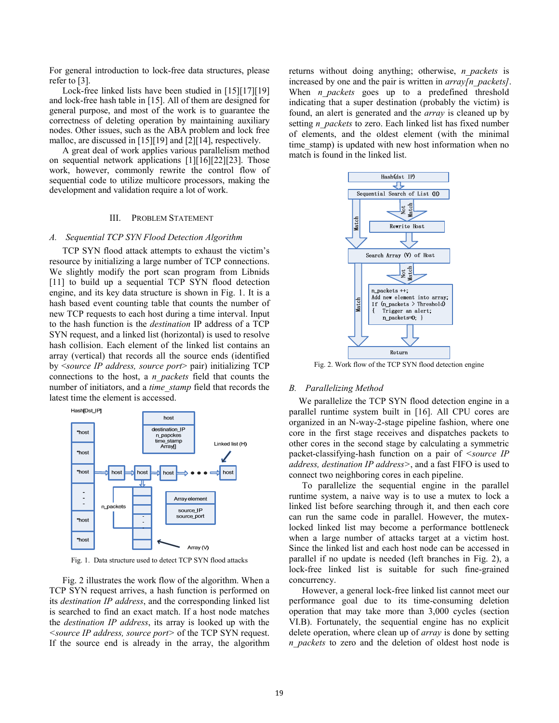For general introduction to lock-free data structures, please refer to [3].

Lock-free linked lists have been studied in [15][17][19] and lock-free hash table in [15]. All of them are designed for general purpose, and most of the work is to guarantee the correctness of deleting operation by maintaining auxiliary nodes. Other issues, such as the ABA problem and lock free malloc, are discussed in [15][19] and [2][14], respectively.

A great deal of work applies various parallelism method on sequential network applications [1][16][22][23]. Those work, however, commonly rewrite the control flow of sequential code to utilize multicore processors, making the development and validation require a lot of work.

## III. PROBLEM STATEMENT

#### *A. Sequential TCP SYN Flood Detection Algorithm*

TCP SYN flood attack attempts to exhaust the victim's resource by initializing a large number of TCP connections. We slightly modify the port scan program from Libnids [11] to build up a sequential TCP SYN flood detection engine, and its key data structure is shown in Fig. 1. It is a hash based event counting table that counts the number of new TCP requests to each host during a time interval. Input to the hash function is the *destination* IP address of a TCP SYN request, and a linked list (horizontal) is used to resolve hash collision. Each element of the linked list contains an array (vertical) that records all the source ends (identified by <*source IP address, source port*> pair) initializing TCP connections to the host, a *n\_packets* field that counts the number of initiators, and a *time\_stamp* field that records the latest time the element is accessed.



Fig. 1. Data structure used to detect TCP SYN flood attacks

Fig. 2 illustrates the work flow of the algorithm. When a TCP SYN request arrives, a hash function is performed on its *destination IP address*, and the corresponding linked list is searched to find an exact match. If a host node matches the *destination IP address*, its array is looked up with the *<source IP address, source port>* of the TCP SYN request. If the source end is already in the array, the algorithm returns without doing anything; otherwise, *n\_packets* is increased by one and the pair is written in *array[n\_packets]*. When *n* packets goes up to a predefined threshold indicating that a super destination (probably the victim) is found, an alert is generated and the *array* is cleaned up by setting *n\_packets* to zero. Each linked list has fixed number of elements, and the oldest element (with the minimal time stamp) is updated with new host information when no match is found in the linked list.



Fig. 2. Work flow of the TCP SYN flood detection engine

#### *B. Parallelizing Method*

We parallelize the TCP SYN flood detection engine in a parallel runtime system built in [16]. All CPU cores are organized in an N-way-2-stage pipeline fashion, where one core in the first stage receives and dispatches packets to other cores in the second stage by calculating a symmetric packet-classifying-hash function on a pair of *<source IP address, destination IP address>*, and a fast FIFO is used to connect two neighboring cores in each pipeline.

To parallelize the sequential engine in the parallel runtime system, a naive way is to use a mutex to lock a linked list before searching through it, and then each core can run the same code in parallel. However, the mutexlocked linked list may become a performance bottleneck when a large number of attacks target at a victim host. Since the linked list and each host node can be accessed in parallel if no update is needed (left branches in Fig. 2), a lock-free linked list is suitable for such fine-grained concurrency.

However, a general lock-free linked list cannot meet our performance goal due to its time-consuming deletion operation that may take more than 3,000 cycles (section VI.B). Fortunately, the sequential engine has no explicit delete operation, where clean up of *array* is done by setting *n* packets to zero and the deletion of oldest host node is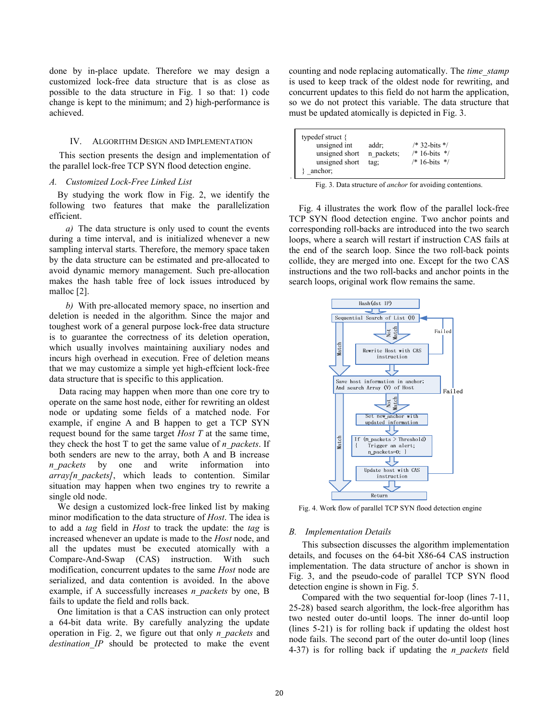done by in-place update. Therefore we may design a customized lock-free data structure that is as close as possible to the data structure in Fig. 1 so that: 1) code change is kept to the minimum; and 2) high-performance is achieved.

## IV. ALGORITHM DESIGN AND IMPLEMENTATION

This section presents the design and implementation of the parallel lock-free TCP SYN flood detection engine.

## *A. Customized Lock-Free Linked List*

By studying the work flow in Fig. 2, we identify the following two features that make the parallelization efficient.

*a)* The data structure is only used to count the events during a time interval, and is initialized whenever a new sampling interval starts. Therefore, the memory space taken by the data structure can be estimated and pre-allocated to avoid dynamic memory management. Such pre-allocation makes the hash table free of lock issues introduced by malloc [2].

*b)* With pre-allocated memory space, no insertion and deletion is needed in the algorithm. Since the major and toughest work of a general purpose lock-free data structure is to guarantee the correctness of its deletion operation, which usually involves maintaining auxiliary nodes and incurs high overhead in execution. Free of deletion means that we may customize a simple yet high-effcient lock-free data structure that is specific to this application.

Data racing may happen when more than one core try to operate on the same host node, either for rewriting an oldest node or updating some fields of a matched node. For example, if engine A and B happen to get a TCP SYN request bound for the same target *Host T* at the same time, they check the host T to get the same value of *n\_packets*. If both senders are new to the array, both A and B increase *n\_packets* by one and write information into *array[n\_packets]*, which leads to contention. Similar situation may happen when two engines try to rewrite a single old node.

We design a customized lock-free linked list by making minor modification to the data structure of *Host*. The idea is to add a *tag* field in *Host* to track the update: the *tag* is increased whenever an update is made to the *Host* node, and all the updates must be executed atomically with a Compare-And-Swap (CAS) instruction. With such modification, concurrent updates to the same *Host* node are serialized, and data contention is avoided. In the above example, if A successfully increases *n\_packets* by one, B fails to update the field and rolls back.

One limitation is that a CAS instruction can only protect a 64-bit data write. By carefully analyzing the update operation in Fig. 2, we figure out that only *n\_packets* and *destination\_IP* should be protected to make the event counting and node replacing automatically. The *time\_stamp* is used to keep track of the oldest node for rewriting, and concurrent updates to this field do not harm the application, so we do not protect this variable. The data structure that must be updated atomically is depicted in Fig. 3.

| typedef struct $\{$<br>unsigned int<br>unsigned short<br>unsigned short<br>anchor: | addr;<br>n packets;<br>tag: | $/* 32 - bits * /$<br>$/* 16-bits$ */<br>$/* 16 - bits *$ |  |  |  |  |  |  |
|------------------------------------------------------------------------------------|-----------------------------|-----------------------------------------------------------|--|--|--|--|--|--|
| Fig. 3. Data structure of <i>anchor</i> for avoiding contentions.                  |                             |                                                           |  |  |  |  |  |  |

|  |  |  |  | Fig. 3. Data structure of <i>anchor</i> for avoiding contentions. |
|--|--|--|--|-------------------------------------------------------------------|
|  |  |  |  |                                                                   |

Fig. 4 illustrates the work flow of the parallel lock-free TCP SYN flood detection engine. Two anchor points and corresponding roll-backs are introduced into the two search loops, where a search will restart if instruction CAS fails at the end of the search loop. Since the two roll-back points collide, they are merged into one. Except for the two CAS instructions and the two roll-backs and anchor points in the search loops, original work flow remains the same.



Fig. 4. Work flow of parallel TCP SYN flood detection engine

#### *B. Implementation Details*

This subsection discusses the algorithm implementation details, and focuses on the 64-bit X86-64 CAS instruction implementation. The data structure of anchor is shown in Fig. 3, and the pseudo-code of parallel TCP SYN flood detection engine is shown in Fig. 5.

Compared with the two sequential for-loop (lines 7-11, 25-28) based search algorithm, the lock-free algorithm has two nested outer do-until loops. The inner do-until loop (lines 5-21) is for rolling back if updating the oldest host node fails. The second part of the outer do-until loop (lines 4-37) is for rolling back if updating the *n\_packets* field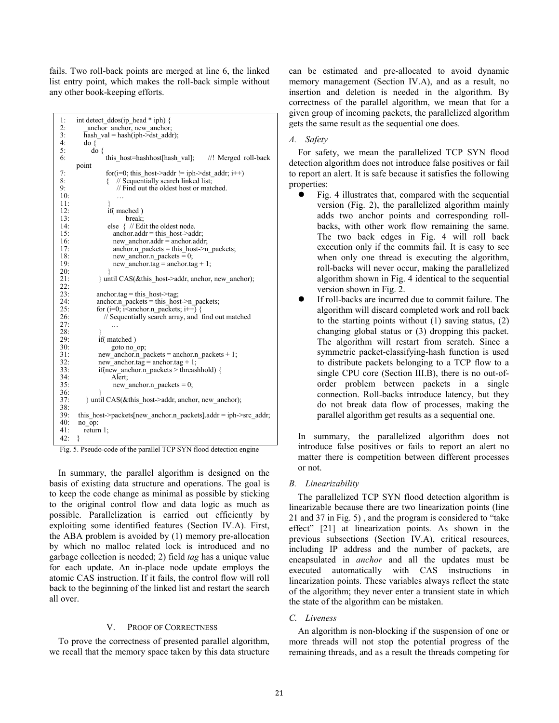fails. Two roll-back points are merged at line 6, the linked list entry point, which makes the roll-back simple without any other book-keeping efforts.

```
1: int detect_ddos(ip_head * iph) {<br>2: anchor anchor new anchor
2: \frac{\text{anchor}}{\text{hash val}} = \frac{\text{hash}(\text{iph}}{\text{path}}3: hash_val = hash(iph->dst_addr);<br>4: do {
\begin{array}{ccc} 4: & \text{do} & \{ \\ 5: & \text{do} \end{array}d\alpha \ell6: this host=hashhost[hash val]; //! Merged roll-back
         point 
7: \begin{array}{ll}\n\text{7:} & \text{for}(i=0; \text{ this} \text{ host} \text{-} \text{addr} != \text{iph} \text{-} \text{dst} \text{-} \text{addr}; \text{ i++)} \\
\text{8:} & \text{{}} \quad \text{{}} \quad \text{{}} \quad \text{{}} \quad \text{{}} \quad \text{{}} \quad \text{{}} \quad \text{{}} \quad \text{{}} \quad \text{{}} \quad \text{{}} \quad \text{{}} \quad \text{{}} \quad \text{{}} \quad \text{{}} \quad \text{{}} \quad \text{{}} \quad \text{{}} \quad \text{{}} \quad \text{{}} \quad \text{{}} \quad \text{{}} \quad \text{{}}8: \{ // Sequentially search linked list;<br>9: // Find out the oldest host or mate
                                // Find out the oldest host or matched.
10:11:12: if( mached ) 
13: break;<br>14: \qquad \qquad else \frac{1}{2} // Ed
                           else { // Edit the oldest node.
15: anchor.addr = this_host->addr;<br>16: new anchor.addr = anchor.add
                              new anchor.addr \equiv anchor.addr;
17: \frac{1}{2} anchor.n_packets = this host->n packets;
18: new_anchor.n_packets \equiv 0;<br>19: new anchor tag = anchor ta
                              new\_anchor.tag = anchor.tag + 1;\frac{20}{21}{ until CAS(&this host->addr, anchor, new anchor);
22:2323: anchor.tag = this_host->tag;<br>24: anchor.n packets = this hos
24: anchor.n_packets = this_host->n_packets;<br>25: for (i=0: i<anchor.n_packets: i++) {
25: for (i=0; i \leq \text{anchor.n\_packets}; i++) {<br>26: // Sequentially search array, and
                         // Sequentially search array, and find out matched
27.\frac{28}{29}29: \text{if}(\text{matched})<br>30: \text{goto no}30: goto no_op;<br>31: new anchor n n
31: new_anchor.n_packets = anchor.n_packets + 1;<br>32: new_anchor.tag = anchor.tag + 1;
32: new_anchor.tag = anchor.tag + 1;<br>33: if(new anchor.n packets > threas)
                      33: if(new_anchor.n_packets > threashhold) { 
34: Alert;<br>35: hew
                              new\_anchor.n\_packets = 0;36:<br>37:
               37: } until CAS(&this_host->addr, anchor, new_anchor); 
38:<br>39:
39: this_host->packets[new_anchor.n_packets].addr = iph->src_addr;<br>40: no on:
          no_op:
41: return 1; 
42: }
```

|  | Fig. 5. Pseudo-code of the parallel TCP SYN flood detection engine |  |  |  |  |
|--|--------------------------------------------------------------------|--|--|--|--|

In summary, the parallel algorithm is designed on the basis of existing data structure and operations. The goal is to keep the code change as minimal as possible by sticking to the original control flow and data logic as much as possible. Parallelization is carried out efficiently by exploiting some identified features (Section IV.A). First, the ABA problem is avoided by (1) memory pre-allocation by which no malloc related lock is introduced and no garbage collection is needed; 2) field *tag* has a unique value for each update. An in-place node update employs the atomic CAS instruction. If it fails, the control flow will roll back to the beginning of the linked list and restart the search all over.

#### V. PROOF OF CORRECTNESS

To prove the correctness of presented parallel algorithm, we recall that the memory space taken by this data structure can be estimated and pre-allocated to avoid dynamic memory management (Section IV.A), and as a result, no insertion and deletion is needed in the algorithm. By correctness of the parallel algorithm, we mean that for a given group of incoming packets, the parallelized algorithm gets the same result as the sequential one does.

## *A. Safety*

For safety, we mean the parallelized TCP SYN flood detection algorithm does not introduce false positives or fail to report an alert. It is safe because it satisfies the following properties:

- Fig. 4 illustrates that, compared with the sequential version (Fig. 2), the parallelized algorithm mainly adds two anchor points and corresponding rollbacks, with other work flow remaining the same. The two back edges in Fig. 4 will roll back execution only if the commits fail. It is easy to see when only one thread is executing the algorithm, roll-backs will never occur, making the parallelized algorithm shown in Fig. 4 identical to the sequential version shown in Fig. 2.
- If roll-backs are incurred due to commit failure. The algorithm will discard completed work and roll back to the starting points without (1) saving status, (2) changing global status or (3) dropping this packet. The algorithm will restart from scratch. Since a symmetric packet-classifying-hash function is used to distribute packets belonging to a TCP flow to a single CPU core (Section III.B), there is no out-oforder problem between packets in a single connection. Roll-backs introduce latency, but they do not break data flow of processes, making the parallel algorithm get results as a sequential one.

In summary, the parallelized algorithm does not introduce false positives or fails to report an alert no matter there is competition between different processes or not.

#### *B. Linearizability*

The parallelized TCP SYN flood detection algorithm is linearizable because there are two linearization points (line 21 and 37 in Fig. 5) , and the program is considered to "take effect" [21] at linearization points. As shown in the previous subsections (Section IV.A), critical resources, including IP address and the number of packets, are encapsulated in *anchor* and all the updates must be executed automatically with CAS instructions in linearization points. These variables always reflect the state of the algorithm; they never enter a transient state in which the state of the algorithm can be mistaken.

## *C. Liveness*

An algorithm is non-blocking if the suspension of one or more threads will not stop the potential progress of the remaining threads, and as a result the threads competing for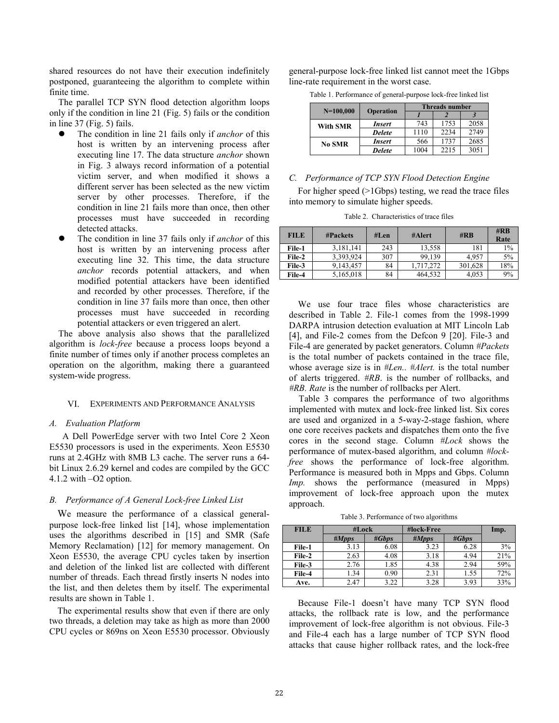shared resources do not have their execution indefinitely postponed, guaranteeing the algorithm to complete within finite time.

The parallel TCP SYN flood detection algorithm loops only if the condition in line 21 (Fig. 5) fails or the condition in line 37 (Fig. 5) fails.

- The condition in line 21 fails only if *anchor* of this host is written by an intervening process after executing line 17. The data structure *anchor* shown in Fig. 3 always record information of a potential victim server, and when modified it shows a different server has been selected as the new victim server by other processes. Therefore, if the condition in line 21 fails more than once, then other processes must have succeeded in recording detected attacks.
- The condition in line 37 fails only if *anchor* of this host is written by an intervening process after executing line 32. This time, the data structure *anchor* records potential attackers, and when modified potential attackers have been identified and recorded by other processes. Therefore, if the condition in line 37 fails more than once, then other processes must have succeeded in recording potential attackers or even triggered an alert.

The above analysis also shows that the parallelized algorithm is *lock-free* because a process loops beyond a finite number of times only if another process completes an operation on the algorithm, making there a guaranteed system-wide progress.

### VI. EXPERIMENTS AND PERFORMANCE ANALYSIS

#### *A. Evaluation Platform*

A Dell PowerEdge server with two Intel Core 2 Xeon E5530 processors is used in the experiments. Xeon E5530 runs at 2.4GHz with 8MB L3 cache. The server runs a 64 bit Linux 2.6.29 kernel and codes are compiled by the GCC 4.1.2 with –O2 option.

## *B. Performance of A General Lock-free Linked List*

We measure the performance of a classical generalpurpose lock-free linked list [14], whose implementation uses the algorithms described in [15] and SMR (Safe Memory Reclamation) [12] for memory management. On Xeon E5530, the average CPU cycles taken by insertion and deletion of the linked list are collected with different number of threads. Each thread firstly inserts N nodes into the list, and then deletes them by itself. The experimental results are shown in Table 1.

The experimental results show that even if there are only two threads, a deletion may take as high as more than 2000 CPU cycles or 869ns on Xeon E5530 processor. Obviously general-purpose lock-free linked list cannot meet the 1Gbps line-rate requirement in the worst case.

Table 1. Performance of general-purpose lock-free linked list

| $N=100,000$     |               | <b>Threads number</b> |      |      |  |  |
|-----------------|---------------|-----------------------|------|------|--|--|
|                 | Operation     |                       |      |      |  |  |
| <b>With SMR</b> | Insert        | 743                   | 1753 | 2058 |  |  |
|                 | <b>Delete</b> | 1110                  | 2234 | 2749 |  |  |
| No SMR          | <b>Insert</b> | 566                   | 1737 | 2685 |  |  |
|                 | <b>Delete</b> | 1004                  | 2215 | 3051 |  |  |

## *C. Performance of TCP SYN Flood Detection Engine*

For higher speed (>1Gbps) testing, we read the trace files into memory to simulate higher speeds.

Table 2. Characteristics of trace files

| <b>FILE</b> | <b>#Packets</b> |     | #Alert    | $\#$ <sub>RB</sub> | $\#$ <sub>RB</sub><br>Rate |
|-------------|-----------------|-----|-----------|--------------------|----------------------------|
| File-1      | 3,181,141       | 243 | 13,558    | 181                | $1\%$                      |
| File-2      | 3,393,924       | 307 | 99.139    | 4.957              | 5%                         |
| File-3      | 9,143,457       | 84  | 1.717.272 | 301,628            | 18%                        |
| File-4      | 5,165,018       | 84  | 464.532   | 4.053              | 9%                         |

We use four trace files whose characteristics are described in Table 2. File-1 comes from the 1998-1999 DARPA intrusion detection evaluation at MIT Lincoln Lab [4], and File-2 comes from the Defcon 9 [20]. File-3 and File-4 are generated by packet generators. Column *#Packets* is the total number of packets contained in the trace file, whose average size is in *#Len.. #Alert.* is the total number of alerts triggered. *#RB*. is the number of rollbacks, and *#RB. Rate* is the number of rollbacks per Alert.

Table 3 compares the performance of two algorithms implemented with mutex and lock-free linked list. Six cores are used and organized in a 5-way-2-stage fashion, where one core receives packets and dispatches them onto the five cores in the second stage. Column *#Lock* shows the performance of mutex-based algorithm, and column *#lockfree* shows the performance of lock-free algorithm. Performance is measured both in Mpps and Gbps. Column *Imp.* shows the performance (measured in Mpps) improvement of lock-free approach upon the mutex approach.

Table 3. Performance of two algorithms

| <b>FILE</b> | #Lock |       | #lock-Free | Imp.  |     |
|-------------|-------|-------|------------|-------|-----|
|             | #Mpps | #Gbps | #Mpps      | #Gbps |     |
| File-1      | 3.13  | 6.08  | 3.23       | 6.28  | 3%  |
| File-2      | 2.63  | 4.08  | 3.18       | 4.94  | 21% |
| File-3      | 2.76  | 1.85  | 4.38       | 2.94  | 59% |
| File-4      | 1.34  | 0.90  | 2.31       | 1.55  | 72% |
| Ave.        | 2.47  | 3.22  | 3.28       | 3.93  | 33% |

Because File-1 doesn't have many TCP SYN flood attacks, the rollback rate is low, and the performance improvement of lock-free algorithm is not obvious. File-3 and File-4 each has a large number of TCP SYN flood attacks that cause higher rollback rates, and the lock-free